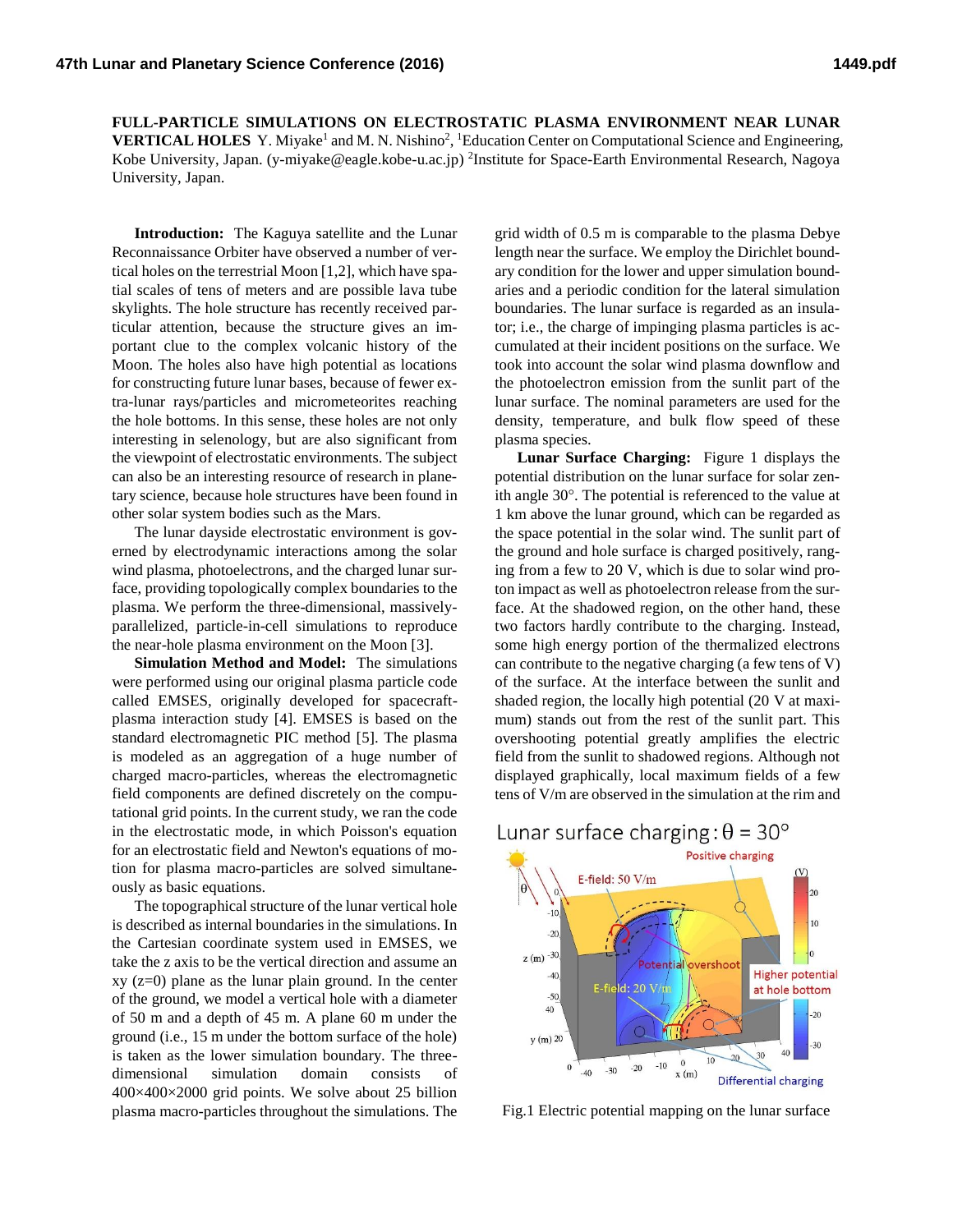**FULL-PARTICLE SIMULATIONS ON ELECTROSTATIC PLASMA ENVIRONMENT NEAR LUNAR VERTICAL HOLES** Y. Miyake<sup>1</sup> and M. N. Nishino<sup>2</sup>, <sup>1</sup>Education Center on Computational Science and Engineering, Kobe University, Japan. (y-miyake@eagle.kobe-u.ac.jp) 2 Institute for Space-Earth Environmental Research, Nagoya University, Japan.

**Introduction:** The Kaguya satellite and the Lunar Reconnaissance Orbiter have observed a number of vertical holes on the terrestrial Moon [1,2], which have spatial scales of tens of meters and are possible lava tube skylights. The hole structure has recently received particular attention, because the structure gives an important clue to the complex volcanic history of the Moon. The holes also have high potential as locations for constructing future lunar bases, because of fewer extra-lunar rays/particles and micrometeorites reaching the hole bottoms. In this sense, these holes are not only interesting in selenology, but are also significant from the viewpoint of electrostatic environments. The subject can also be an interesting resource of research in planetary science, because hole structures have been found in other solar system bodies such as the Mars.

The lunar dayside electrostatic environment is governed by electrodynamic interactions among the solar wind plasma, photoelectrons, and the charged lunar surface, providing topologically complex boundaries to the plasma. We perform the three-dimensional, massivelyparallelized, particle-in-cell simulations to reproduce the near-hole plasma environment on the Moon [3].

**Simulation Method and Model:** The simulations were performed using our original plasma particle code called EMSES, originally developed for spacecraftplasma interaction study [4]. EMSES is based on the standard electromagnetic PIC method [5]. The plasma is modeled as an aggregation of a huge number of charged macro-particles, whereas the electromagnetic field components are defined discretely on the computational grid points. In the current study, we ran the code in the electrostatic mode, in which Poisson's equation for an electrostatic field and Newton's equations of motion for plasma macro-particles are solved simultaneously as basic equations.

The topographical structure of the lunar vertical hole is described as internal boundaries in the simulations. In the Cartesian coordinate system used in EMSES, we take the z axis to be the vertical direction and assume an xy (z=0) plane as the lunar plain ground. In the center of the ground, we model a vertical hole with a diameter of 50 m and a depth of 45 m. A plane 60 m under the ground (i.e., 15 m under the bottom surface of the hole) is taken as the lower simulation boundary. The threedimensional simulation domain consists of 400×400×2000 grid points. We solve about 25 billion plasma macro-particles throughout the simulations. The

grid width of 0.5 m is comparable to the plasma Debye length near the surface. We employ the Dirichlet boundary condition for the lower and upper simulation boundaries and a periodic condition for the lateral simulation boundaries. The lunar surface is regarded as an insulator; i.e., the charge of impinging plasma particles is accumulated at their incident positions on the surface. We took into account the solar wind plasma downflow and the photoelectron emission from the sunlit part of the lunar surface. The nominal parameters are used for the density, temperature, and bulk flow speed of these plasma species.

**Lunar Surface Charging:** Figure 1 displays the potential distribution on the lunar surface for solar zenith angle  $30^\circ$ . The potential is referenced to the value at 1 km above the lunar ground, which can be regarded as the space potential in the solar wind. The sunlit part of the ground and hole surface is charged positively, ranging from a few to 20 V, which is due to solar wind proton impact as well as photoelectron release from the surface. At the shadowed region, on the other hand, these two factors hardly contribute to the charging. Instead, some high energy portion of the thermalized electrons can contribute to the negative charging (a few tens of V) of the surface. At the interface between the sunlit and shaded region, the locally high potential (20 V at maximum) stands out from the rest of the sunlit part. This overshooting potential greatly amplifies the electric field from the sunlit to shadowed regions. Although not displayed graphically, local maximum fields of a few tens of V/m are observed in the simulation at the rim and



Fig.1 Electric potential mapping on the lunar surface